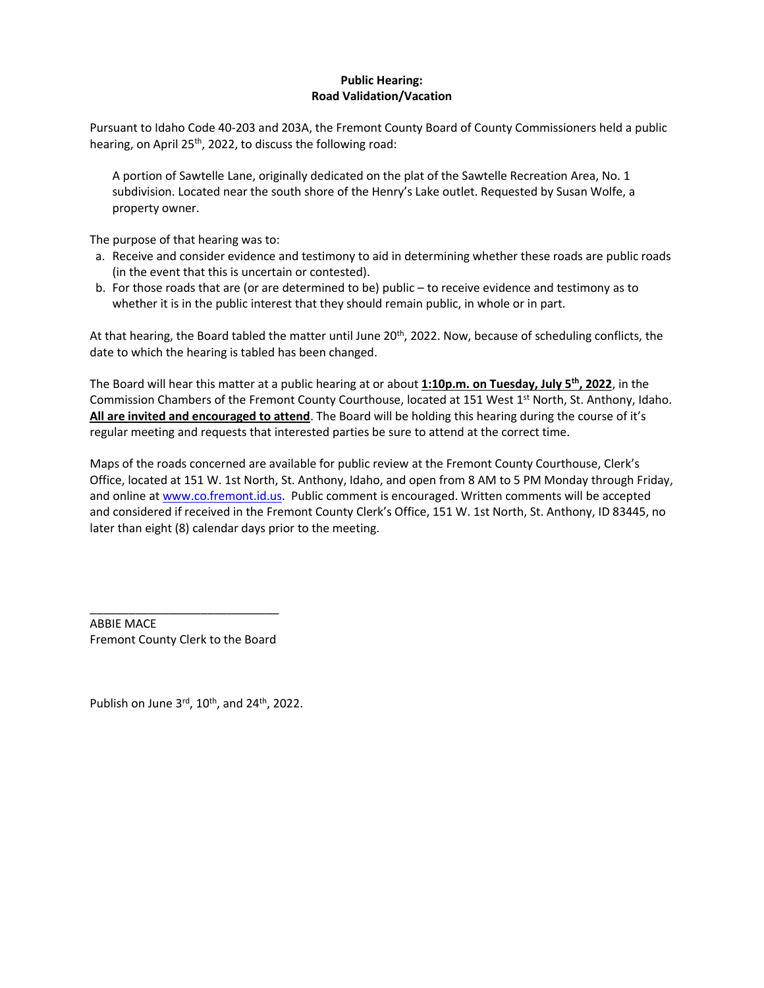## **Public Hearing: Road Validation/Vacation**

Pursuant to Idaho Code 40-203 and 203A, the Fremont County Board of County Commissioners held a public hearing, on April 25<sup>th</sup>, 2022, to discuss the following road:

A portion of Sawtelle Lane, originally dedicated on the plat of the Sawtelle Recreation Area, No. 1 subdivision. Located near the south shore of the Henry's Lake outlet. Requested by Susan Wolfe, a property owner.

The purpose of that hearing was to:

- a. Receive and consider evidence and testimony to aid in determining whether these roads are public roads (in the event that this is uncertain or contested).
- b. For those roads that are (or are determined to be) public to receive evidence and testimony as to whether it is in the public interest that they should remain public, in whole or in part.

At that hearing, the Board tabled the matter until June 20<sup>th</sup>, 2022. Now, because of scheduling conflicts, the date to which the hearing is tabled has been changed.

The Board will hear this matter at a public hearing at or about **1:10p.m. on Tuesday, July 5 th, 2022**, in the Commission Chambers of the Fremont County Courthouse, located at 151 West 1<sup>st</sup> North, St. Anthony, Idaho. **All are invited and encouraged to attend**. The Board will be holding this hearing during the course of it's regular meeting and requests that interested parties be sure to attend at the correct time.

Maps of the roads concerned are available for public review at the Fremont County Courthouse, Clerk's Office, located at 151 W. 1st North, St. Anthony, Idaho, and open from 8 AM to 5 PM Monday through Friday, and online a[t www.co.fremont.id.us.](http://www.co.fremont.id.us/) Public comment is encouraged. Written comments will be accepted and considered if received in the Fremont County Clerk's Office, 151 W. 1st North, St. Anthony, ID 83445, no later than eight (8) calendar days prior to the meeting.

\_\_\_\_\_\_\_\_\_\_\_\_\_\_\_\_\_\_\_\_\_\_\_\_\_\_\_\_\_ ABBIE MACE Fremont County Clerk to the Board

Publish on June  $3^{\text{rd}}$ ,  $10^{\text{th}}$ , and  $24^{\text{th}}$ , 2022.